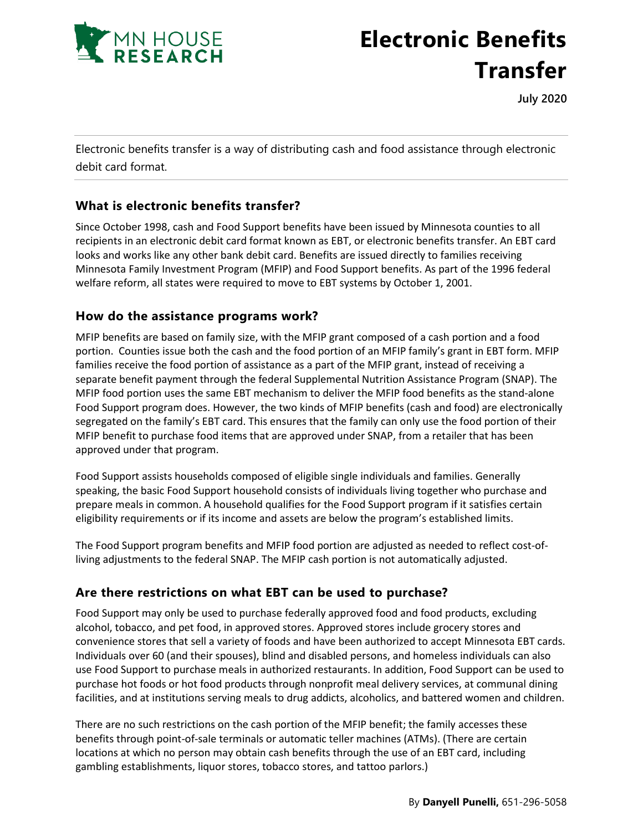

# **Electronic Benefits Transfer**

**July 2020**

Electronic benefits transfer is a way of distributing cash and food assistance through electronic debit card format.

### **What is electronic benefits transfer?**

Since October 1998, cash and Food Support benefits have been issued by Minnesota counties to all recipients in an electronic debit card format known as EBT, or electronic benefits transfer. An EBT card looks and works like any other bank debit card. Benefits are issued directly to families receiving Minnesota Family Investment Program (MFIP) and Food Support benefits. As part of the 1996 federal welfare reform, all states were required to move to EBT systems by October 1, 2001.

#### **How do the assistance programs work?**

MFIP benefits are based on family size, with the MFIP grant composed of a cash portion and a food portion. Counties issue both the cash and the food portion of an MFIP family's grant in EBT form. MFIP families receive the food portion of assistance as a part of the MFIP grant, instead of receiving a separate benefit payment through the federal Supplemental Nutrition Assistance Program (SNAP). The MFIP food portion uses the same EBT mechanism to deliver the MFIP food benefits as the stand-alone Food Support program does. However, the two kinds of MFIP benefits (cash and food) are electronically segregated on the family's EBT card. This ensures that the family can only use the food portion of their MFIP benefit to purchase food items that are approved under SNAP, from a retailer that has been approved under that program.

Food Support assists households composed of eligible single individuals and families. Generally speaking, the basic Food Support household consists of individuals living together who purchase and prepare meals in common. A household qualifies for the Food Support program if it satisfies certain eligibility requirements or if its income and assets are below the program's established limits.

The Food Support program benefits and MFIP food portion are adjusted as needed to reflect cost-ofliving adjustments to the federal SNAP. The MFIP cash portion is not automatically adjusted.

## **Are there restrictions on what EBT can be used to purchase?**

Food Support may only be used to purchase federally approved food and food products, excluding alcohol, tobacco, and pet food, in approved stores. Approved stores include grocery stores and convenience stores that sell a variety of foods and have been authorized to accept Minnesota EBT cards. Individuals over 60 (and their spouses), blind and disabled persons, and homeless individuals can also use Food Support to purchase meals in authorized restaurants. In addition, Food Support can be used to purchase hot foods or hot food products through nonprofit meal delivery services, at communal dining facilities, and at institutions serving meals to drug addicts, alcoholics, and battered women and children.

There are no such restrictions on the cash portion of the MFIP benefit; the family accesses these benefits through point-of-sale terminals or automatic teller machines (ATMs). (There are certain locations at which no person may obtain cash benefits through the use of an EBT card, including gambling establishments, liquor stores, tobacco stores, and tattoo parlors.)